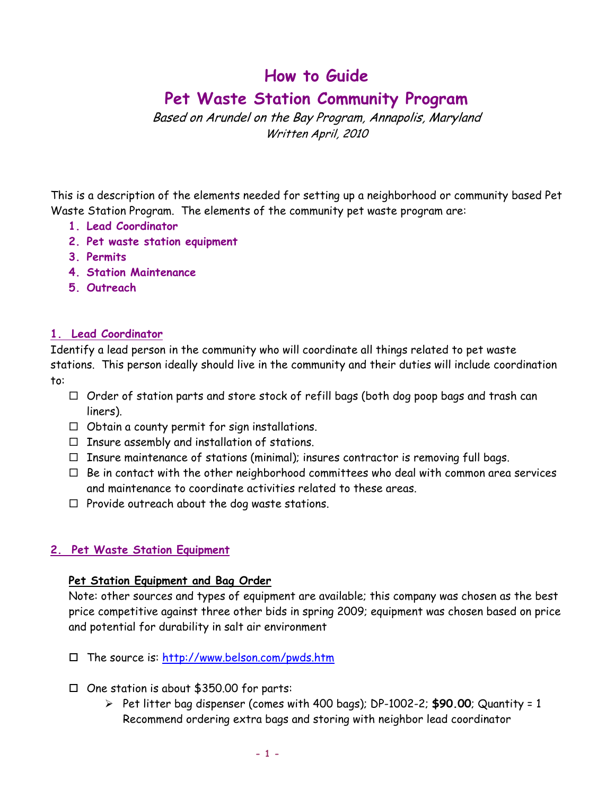# **How to Guide**

# **Pet Waste Station Community Program**

Based on Arundel on the Bay Program, Annapolis, Maryland Written April, 2010

This is a description of the elements needed for setting up a neighborhood or community based Pet Waste Station Program. The elements of the community pet waste program are:

- **1. Lead Coordinator**
- **2. Pet waste station equipment**
- **3. Permits**
- **4. Station Maintenance**
- **5. Outreach**

### **1. Lead Coordinator**

Identify a lead person in the community who will coordinate all things related to pet waste stations. This person ideally should live in the community and their duties will include coordination to:

- $\Box$  Order of station parts and store stock of refill bags (both dog poop bags and trash can liners).
- $\Box$  Obtain a county permit for sign installations.
- $\Box$  Insure assembly and installation of stations.
- $\Box$  Insure maintenance of stations (minimal); insures contractor is removing full bags.
- $\Box$  Be in contact with the other neighborhood committees who deal with common area services and maintenance to coordinate activities related to these areas.
- $\Box$  Provide outreach about the dog waste stations.

# **2. Pet Waste Station Equipment**

#### **Pet Station Equipment and Bag Order**

Note: other sources and types of equipment are available; this company was chosen as the best price competitive against three other bids in spring 2009; equipment was chosen based on price and potential for durability in salt air environment

- $\Box$  The source is:  $\frac{http://www.belson.com/pwds.htm}{http://www.belson.com/pwds.htm}$
- $\Box$  One station is about \$350.00 for parts:
	- ¾ Pet litter bag dispenser (comes with 400 bags); DP-1002-2; **\$90.00**; Quantity = 1 Recommend ordering extra bags and storing with neighbor lead coordinator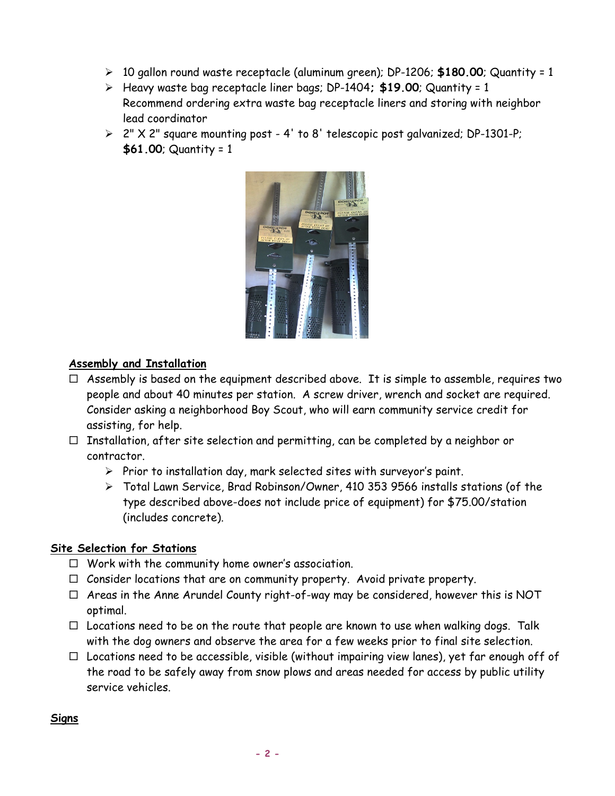- ¾ 10 gallon round waste receptacle (aluminum green); DP-1206; **\$180.00**; Quantity = 1
- ¾ Heavy waste bag receptacle liner bags; DP-1404**; \$19.00**; Quantity = 1 Recommend ordering extra waste bag receptacle liners and storing with neighbor lead coordinator
- $\triangleright$  2" X 2" square mounting post 4' to 8' telescopic post galvanized; DP-1301-P; **\$61.00**; Quantity = 1



# **Assembly and Installation**

- $\Box$  Assembly is based on the equipment described above. It is simple to assemble, requires two people and about 40 minutes per station. A screw driver, wrench and socket are required. Consider asking a neighborhood Boy Scout, who will earn community service credit for assisting, for help.
- $\Box$  Installation, after site selection and permitting, can be completed by a neighbor or contractor.
	- $\triangleright$  Prior to installation day, mark selected sites with surveyor's paint.
	- ¾ Total Lawn Service, Brad Robinson/Owner, 410 353 9566 installs stations (of the type described above-does not include price of equipment) for \$75.00/station (includes concrete).

#### **Site Selection for Stations**

- $\Box$  Work with the community home owner's association.
- $\Box$  Consider locations that are on community property. Avoid private property.
- $\Box$  Areas in the Anne Arundel County right-of-way may be considered, however this is NOT optimal.
- $\Box$  Locations need to be on the route that people are known to use when walking dogs. Talk with the dog owners and observe the area for a few weeks prior to final site selection.
- $\Box$  Locations need to be accessible, visible (without impairing view lanes), yet far enough off of the road to be safely away from snow plows and areas needed for access by public utility service vehicles.

#### **Signs**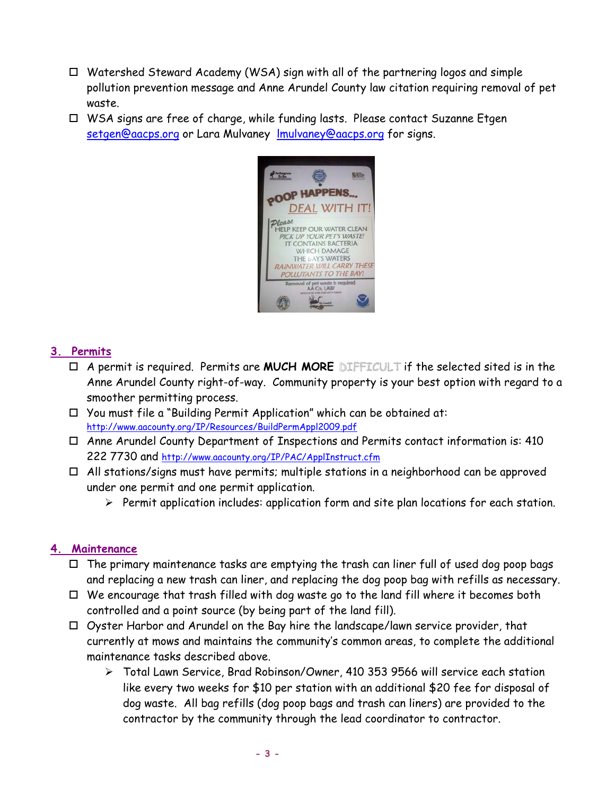- $\Box$  Watershed Steward Academy (WSA) sign with all of the partnering logos and simple pollution prevention message and Anne Arundel County law citation requiring removal of pet waste.
- WSA signs are free of charge, while funding lasts. Please contact Suzanne Etgen [setgen@aacps.org](mailto:setgen@aacps.org) or Lara Mulvaney Imulvaney@aacps.org for signs.



### **3. Permits**

- A permit is required. Permits are **MUCH MORE** DIFFICULT if the selected sited is in the Anne Arundel County right-of-way. Community property is your best option with regard to a smoother permitting process.
- $\Box$  You must file a "Building Permit Application" which can be obtained at: <http://www.aacounty.org/IP/Resources/BuildPermAppl2009.pdf>
- Anne Arundel County Department of Inspections and Permits contact information is: 410 222 7730 and<http://www.aacounty.org/IP/PAC/ApplInstruct.cfm>
- $\Box$  All stations/signs must have permits; multiple stations in a neighborhood can be approved under one permit and one permit application.
	- ¾ Permit application includes: application form and site plan locations for each station.

#### **4. Maintenance**

- $\Box$  The primary maintenance tasks are emptying the trash can liner full of used dog poop bags and replacing a new trash can liner, and replacing the dog poop bag with refills as necessary.
- $\Box$  We encourage that trash filled with dog waste go to the land fill where it becomes both controlled and a point source (by being part of the land fill).
- Oyster Harbor and Arundel on the Bay hire the landscape/lawn service provider, that currently at mows and maintains the community's common areas, to complete the additional maintenance tasks described above.
	- ¾ Total Lawn Service, Brad Robinson/Owner, 410 353 9566 will service each station like every two weeks for \$10 per station with an additional \$20 fee for disposal of dog waste. All bag refills (dog poop bags and trash can liners) are provided to the contractor by the community through the lead coordinator to contractor.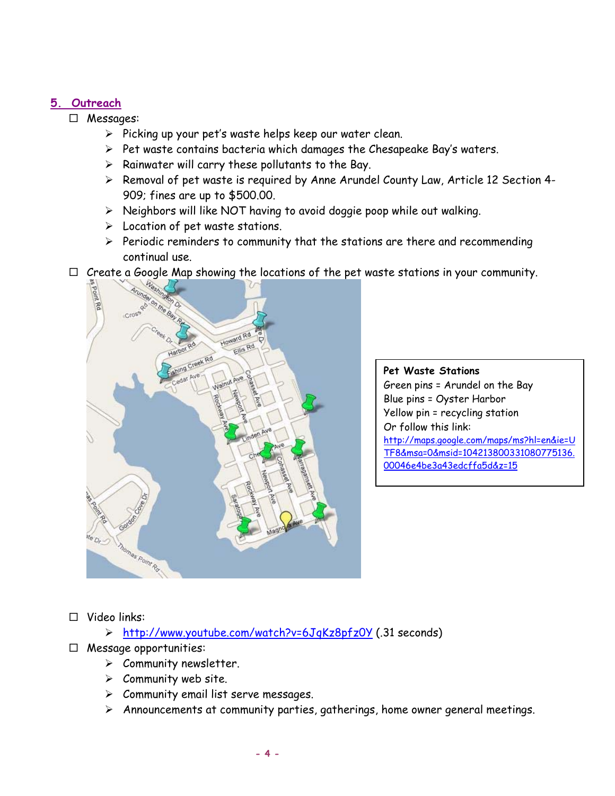## **5. Outreach**

Messages:

- $\triangleright$  Picking up your pet's waste helps keep our water clean.
- $\triangleright$  Pet waste contains bacteria which damages the Chesapeake Bay's waters.
- $\triangleright$  Rainwater will carry these pollutants to the Bay.
- ¾ Removal of pet waste is required by Anne Arundel County Law, Article 12 Section 4- 909; fines are up to \$500.00.
- ¾ Neighbors will like NOT having to avoid doggie poop while out walking.
- $\triangleright$  Location of pet waste stations.
- $\triangleright$  Periodic reminders to community that the stations are there and recommending continual use.
- $\Box$  Create a Google Map showing the locations of the pet waste stations in your community.



**Pet Waste Stations**  Green pins = Arundel on the Bay Blue pins = Oyster Harbor Yellow pin = recycling station Or follow this link: http://maps.google.com/maps/ms?hl=en&ie=U TF8&msa=0&msid=104213800331080775136. 00046e4be3a43edcffa5d&z=15

Video links:

¾ <http://www.youtube.com/watch?v=6JqKz8pfz0Y> (.31 seconds)

- $\Box$  Message opportunities:
	- $\triangleright$  Community newsletter.
	- $\triangleright$  Community web site.
	- $\triangleright$  Community email list serve messages.
	- $\triangleright$  Announcements at community parties, gatherings, home owner general meetings.